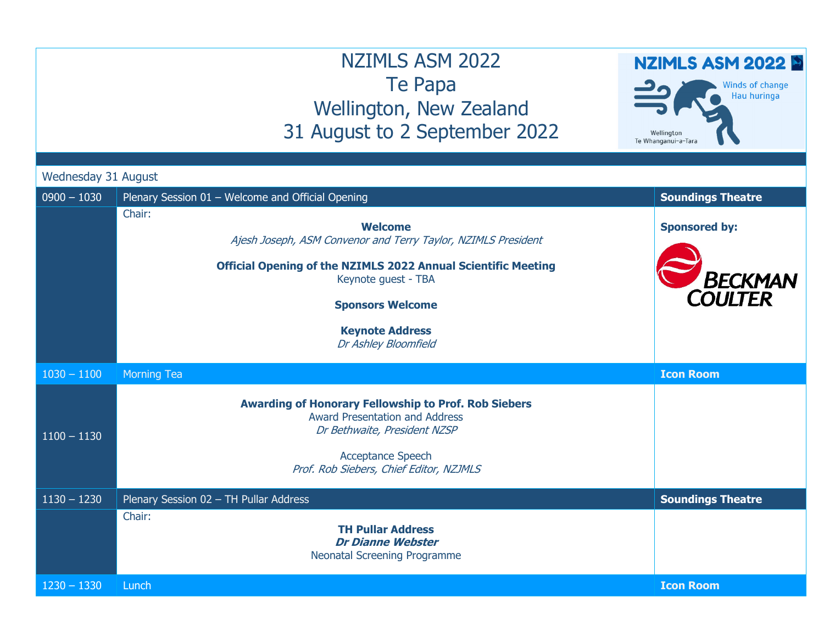## NZIMLS ASM 2022 Te Papa Wellington, New Zealand 31 August to 2 September 2022

## NZIMLS ASM 2022

Winds of change Hau huringa Wellington Te Whanganui-a-Tara

Wednesday 31 August

| $0900 - 1030$ | Plenary Session 01 - Welcome and Official Opening                                                                                                                                                                                                                     | <b>Soundings Theatre</b>                          |
|---------------|-----------------------------------------------------------------------------------------------------------------------------------------------------------------------------------------------------------------------------------------------------------------------|---------------------------------------------------|
|               | Chair:<br><b>Welcome</b><br>Ajesh Joseph, ASM Convenor and Terry Taylor, NZIMLS President<br><b>Official Opening of the NZIMLS 2022 Annual Scientific Meeting</b><br>Keynote guest - TBA<br><b>Sponsors Welcome</b><br><b>Keynote Address</b><br>Dr Ashley Bloomfield | <b>Sponsored by:</b><br><b>BECKMAN</b><br>COULTER |
| $1030 - 1100$ | <b>Morning Tea</b>                                                                                                                                                                                                                                                    | <b>Icon Room</b>                                  |
| $1100 - 1130$ | <b>Awarding of Honorary Fellowship to Prof. Rob Siebers</b><br><b>Award Presentation and Address</b><br>Dr Bethwaite, President NZSP<br><b>Acceptance Speech</b><br>Prof. Rob Siebers, Chief Editor, NZJMLS                                                           |                                                   |
| $1130 - 1230$ | Plenary Session 02 - TH Pullar Address                                                                                                                                                                                                                                | <b>Soundings Theatre</b>                          |
|               | Chair:<br><b>TH Pullar Address</b><br><b>Dr Dianne Webster</b><br>Neonatal Screening Programme                                                                                                                                                                        |                                                   |
| $1230 - 1330$ | Lunch                                                                                                                                                                                                                                                                 | <b>Icon Room</b>                                  |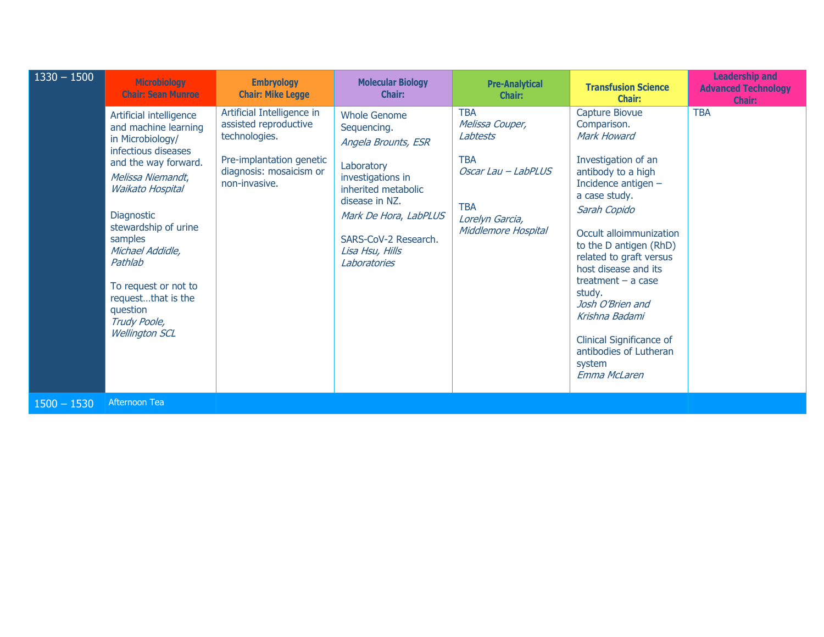| $1330 - 1500$ | <b>Microbiology</b><br><b>Chair: Sean Munroe</b>                                                                                                                                                                                                                                                                                                             | <b>Embryology</b><br><b>Chair: Mike Legge</b>                                                                                                | <b>Molecular Biology</b><br><b>Chair:</b>                                                                                                                                                                                 | <b>Pre-Analytical</b><br><b>Chair:</b>                                                                                                 | <b>Transfusion Science</b><br><b>Chair:</b>                                                                                                                                                                                                                                                                                                                                                                              | <b>Leadership and</b><br><b>Advanced Technology</b><br>Chair: |
|---------------|--------------------------------------------------------------------------------------------------------------------------------------------------------------------------------------------------------------------------------------------------------------------------------------------------------------------------------------------------------------|----------------------------------------------------------------------------------------------------------------------------------------------|---------------------------------------------------------------------------------------------------------------------------------------------------------------------------------------------------------------------------|----------------------------------------------------------------------------------------------------------------------------------------|--------------------------------------------------------------------------------------------------------------------------------------------------------------------------------------------------------------------------------------------------------------------------------------------------------------------------------------------------------------------------------------------------------------------------|---------------------------------------------------------------|
|               | Artificial intelligence<br>and machine learning<br>in Microbiology/<br>infectious diseases<br>and the way forward.<br>Melissa Niemandt,<br><b>Waikato Hospital</b><br><b>Diagnostic</b><br>stewardship of urine<br>samples<br>Michael Addidle,<br>Pathlab<br>To request or not to<br>requestthat is the<br>question<br>Trudy Poole,<br><b>Wellington SCL</b> | Artificial Intelligence in<br>assisted reproductive<br>technologies.<br>Pre-implantation genetic<br>diagnosis: mosaicism or<br>non-invasive. | <b>Whole Genome</b><br>Sequencing.<br>Angela Brounts, ESR<br>Laboratory<br>investigations in<br>inherited metabolic<br>disease in NZ.<br>Mark De Hora, LabPLUS<br>SARS-CoV-2 Research.<br>Lisa Hsu, Hills<br>Laboratories | <b>TBA</b><br>Melissa Couper,<br>Labtests<br><b>TBA</b><br>Oscar Lau - LabPLUS<br><b>TBA</b><br>Lorelyn Garcia,<br>Middlemore Hospital | Capture Biovue<br>Comparison.<br><b>Mark Howard</b><br>Investigation of an<br>antibody to a high<br>Incidence antigen -<br>a case study.<br>Sarah Copido<br>Occult alloimmunization<br>to the D antigen (RhD)<br>related to graft versus<br>host disease and its<br>treatment $-$ a case<br>study.<br>Josh O'Brien and<br>Krishna Badami<br>Clinical Significance of<br>antibodies of Lutheran<br>system<br>Emma McLaren | <b>TBA</b>                                                    |
| $1500 - 1530$ | <b>Afternoon Tea</b>                                                                                                                                                                                                                                                                                                                                         |                                                                                                                                              |                                                                                                                                                                                                                           |                                                                                                                                        |                                                                                                                                                                                                                                                                                                                                                                                                                          |                                                               |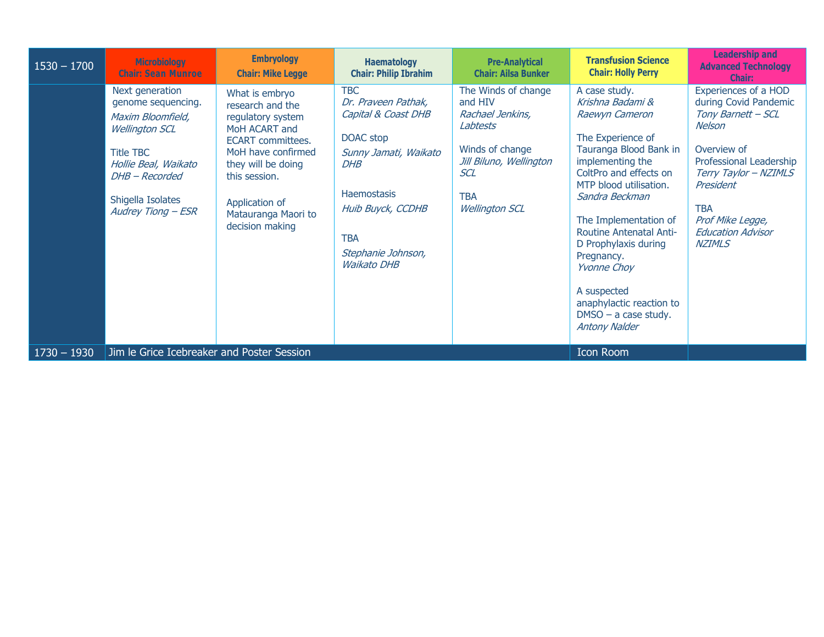| $1530 - 1700$ | <b>Microbiology</b><br><b>Chair: Sean Munroe</b>                                                                                                                                             | <b>Embryology</b><br><b>Chair: Mike Legge</b>                                                                                                                                                                                 | <b>Haematology</b><br><b>Chair: Philip Ibrahim</b>                                                                                                                                                                | <b>Pre-Analytical</b><br><b>Chair: Ailsa Bunker</b>                                                                                                        | <b>Transfusion Science</b><br><b>Chair: Holly Perry</b>                                                                                                                                                                                                                                                                                                                                                                 | <b>Leadership and</b><br><b>Advanced Technology</b><br><b>Chair:</b>                                                                                                                                                                         |
|---------------|----------------------------------------------------------------------------------------------------------------------------------------------------------------------------------------------|-------------------------------------------------------------------------------------------------------------------------------------------------------------------------------------------------------------------------------|-------------------------------------------------------------------------------------------------------------------------------------------------------------------------------------------------------------------|------------------------------------------------------------------------------------------------------------------------------------------------------------|-------------------------------------------------------------------------------------------------------------------------------------------------------------------------------------------------------------------------------------------------------------------------------------------------------------------------------------------------------------------------------------------------------------------------|----------------------------------------------------------------------------------------------------------------------------------------------------------------------------------------------------------------------------------------------|
|               | Next generation<br>genome sequencing.<br>Maxim Bloomfield,<br><b>Wellington SCL</b><br><b>Title TBC</b><br>Hollie Beal, Waikato<br>DHB - Recorded<br>Shigella Isolates<br>Audrey Tiong - ESR | What is embryo<br>research and the<br>regulatory system<br>MoH ACART and<br><b>ECART</b> committees.<br>MoH have confirmed<br>they will be doing<br>this session.<br>Application of<br>Matauranga Maori to<br>decision making | <b>TBC</b><br>Dr. Praveen Pathak,<br>Capital & Coast DHB<br>DOAC stop<br>Sunny Jamati, Waikato<br><b>DHB</b><br><b>Haemostasis</b><br>Huib Buyck, CCDHB<br><b>TBA</b><br>Stephanie Johnson,<br><b>Waikato DHB</b> | The Winds of change<br>and HIV<br>Rachael Jenkins,<br>Labtests<br>Winds of change<br>Jill Biluno, Wellington<br>SCL<br><b>TBA</b><br><b>Wellington SCL</b> | A case study.<br>Krishna Badami &<br>Raewyn Cameron<br>The Experience of<br>Tauranga Blood Bank in<br>implementing the<br>ColtPro and effects on<br>MTP blood utilisation.<br>Sandra Beckman<br>The Implementation of<br><b>Routine Antenatal Anti-</b><br>D Prophylaxis during<br>Pregnancy.<br><i><b>Yvonne Choy</b></i><br>A suspected<br>anaphylactic reaction to<br>$DMSO - a$ case study.<br><b>Antony Nalder</b> | Experiences of a HOD<br>during Covid Pandemic<br>Tony Barnett - SCL<br>Nelson<br>Overview of<br>Professional Leadership<br>Terry Taylor - NZIMLS<br>President<br><b>TBA</b><br>Prof Mike Legge,<br><b>Education Advisor</b><br><b>NZIMLS</b> |
| $1730 - 1930$ | Jim le Grice Icebreaker and Poster Session                                                                                                                                                   |                                                                                                                                                                                                                               |                                                                                                                                                                                                                   |                                                                                                                                                            | <b>Icon Room</b>                                                                                                                                                                                                                                                                                                                                                                                                        |                                                                                                                                                                                                                                              |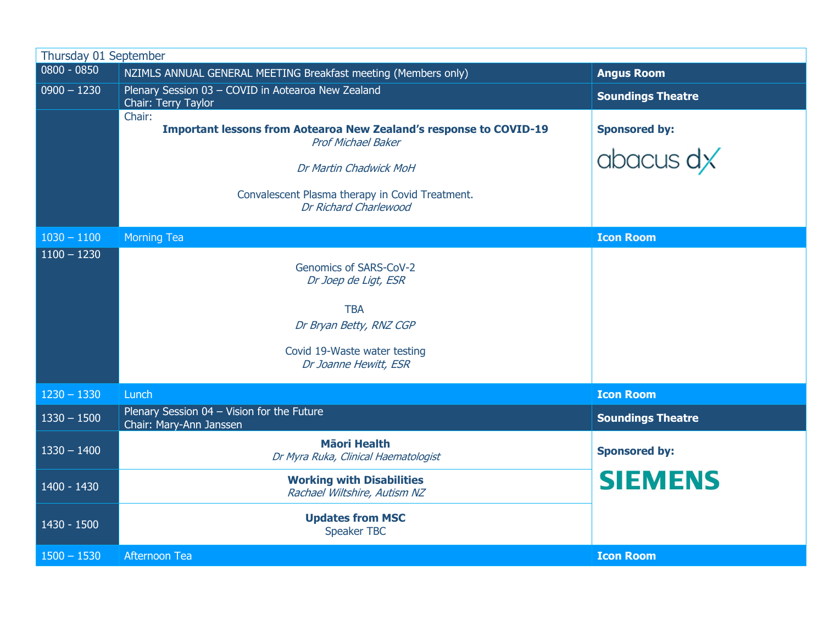| Thursday 01 September          |                                                                                                                                                                                                                        |                                   |
|--------------------------------|------------------------------------------------------------------------------------------------------------------------------------------------------------------------------------------------------------------------|-----------------------------------|
| $0800 - 0850$                  | NZIMLS ANNUAL GENERAL MEETING Breakfast meeting (Members only)                                                                                                                                                         | <b>Angus Room</b>                 |
| $0900 - 1230$                  | Plenary Session 03 - COVID in Aotearoa New Zealand<br>Chair: Terry Taylor                                                                                                                                              | <b>Soundings Theatre</b>          |
|                                | Chair:<br><b>Important lessons from Aotearoa New Zealand's response to COVID-19</b><br><b>Prof Michael Baker</b><br>Dr Martin Chadwick MoH<br>Convalescent Plasma therapy in Covid Treatment.<br>Dr Richard Charlewood | <b>Sponsored by:</b><br>abacus dx |
| $1030 - 1100$<br>$1100 - 1230$ | Morning Tea                                                                                                                                                                                                            | <b>Icon Room</b>                  |
|                                | Genomics of SARS-CoV-2<br>Dr Joep de Ligt, ESR<br><b>TBA</b><br>Dr Bryan Betty, RNZ CGP<br>Covid 19-Waste water testing<br>Dr Joanne Hewitt, ESR                                                                       |                                   |
| $1230 - 1330$                  | Lunch                                                                                                                                                                                                                  | <b>Icon Room</b>                  |
| $1330 - 1500$                  | Plenary Session 04 - Vision for the Future<br>Chair: Mary-Ann Janssen                                                                                                                                                  | <b>Soundings Theatre</b>          |
| $1330 - 1400$                  | <b>Mäori Health</b><br>Dr Myra Ruka, Clinical Haematologist                                                                                                                                                            | <b>Sponsored by:</b>              |
| 1400 - 1430                    | <b>Working with Disabilities</b><br>Rachael Wiltshire, Autism NZ                                                                                                                                                       | <b>SIEMENS</b>                    |
| 1430 - 1500                    | <b>Updates from MSC</b><br><b>Speaker TBC</b>                                                                                                                                                                          |                                   |
| $1500 - 1530$                  | Afternoon Tea                                                                                                                                                                                                          | <b>Icon Room</b>                  |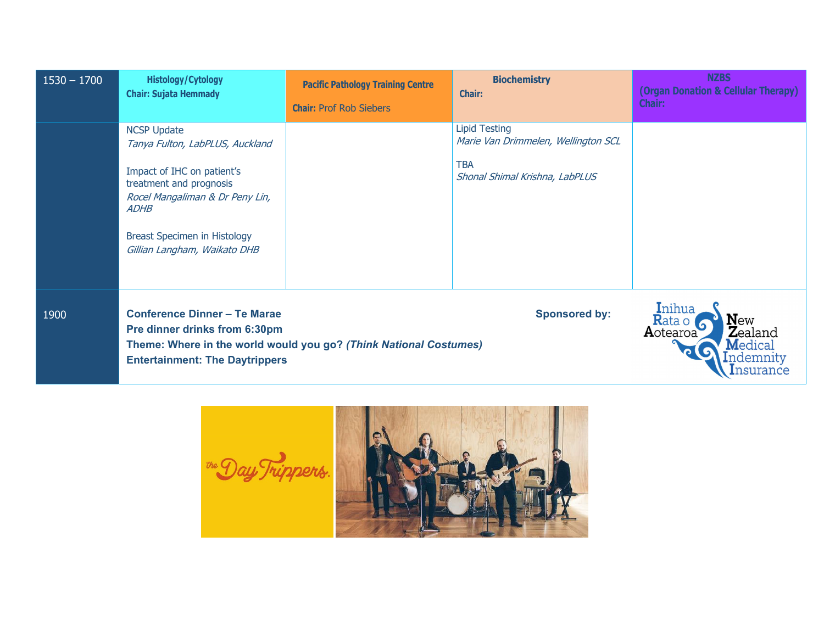| $1530 - 1700$ | <b>Histology/Cytology</b><br><b>Chair: Sujata Hemmady</b>                                                                                                                                                                        | <b>Pacific Pathology Training Centre</b><br><b>Chair: Prof Rob Siebers</b> | <b>Biochemistry</b><br><b>Chair:</b>                                                                        | <b>NZBS</b><br>(Organ Donation & Cellular Therapy)<br><b>Chair:</b>                                          |
|---------------|----------------------------------------------------------------------------------------------------------------------------------------------------------------------------------------------------------------------------------|----------------------------------------------------------------------------|-------------------------------------------------------------------------------------------------------------|--------------------------------------------------------------------------------------------------------------|
|               | <b>NCSP Update</b><br>Tanya Fulton, LabPLUS, Auckland<br>Impact of IHC on patient's<br>treatment and prognosis<br>Rocel Mangaliman & Dr Peny Lin,<br><b>ADHB</b><br>Breast Specimen in Histology<br>Gillian Langham, Waikato DHB |                                                                            | <b>Lipid Testing</b><br>Marie Van Drimmelen, Wellington SCL<br><b>TBA</b><br>Shonal Shimal Krishna, LabPLUS |                                                                                                              |
| 1900          | <b>Conference Dinner - Te Marae</b><br>Pre dinner drinks from 6:30pm<br><b>Entertainment: The Daytrippers</b>                                                                                                                    | Theme: Where in the world would you go? (Think National Costumes)          | <b>Sponsored by:</b>                                                                                        | Inihua<br><b>New</b><br>Rata o<br><b>Z</b> ealand<br>Aotearoa<br>$\mathbf M$ edical<br>.ndemnity<br>ısurance |